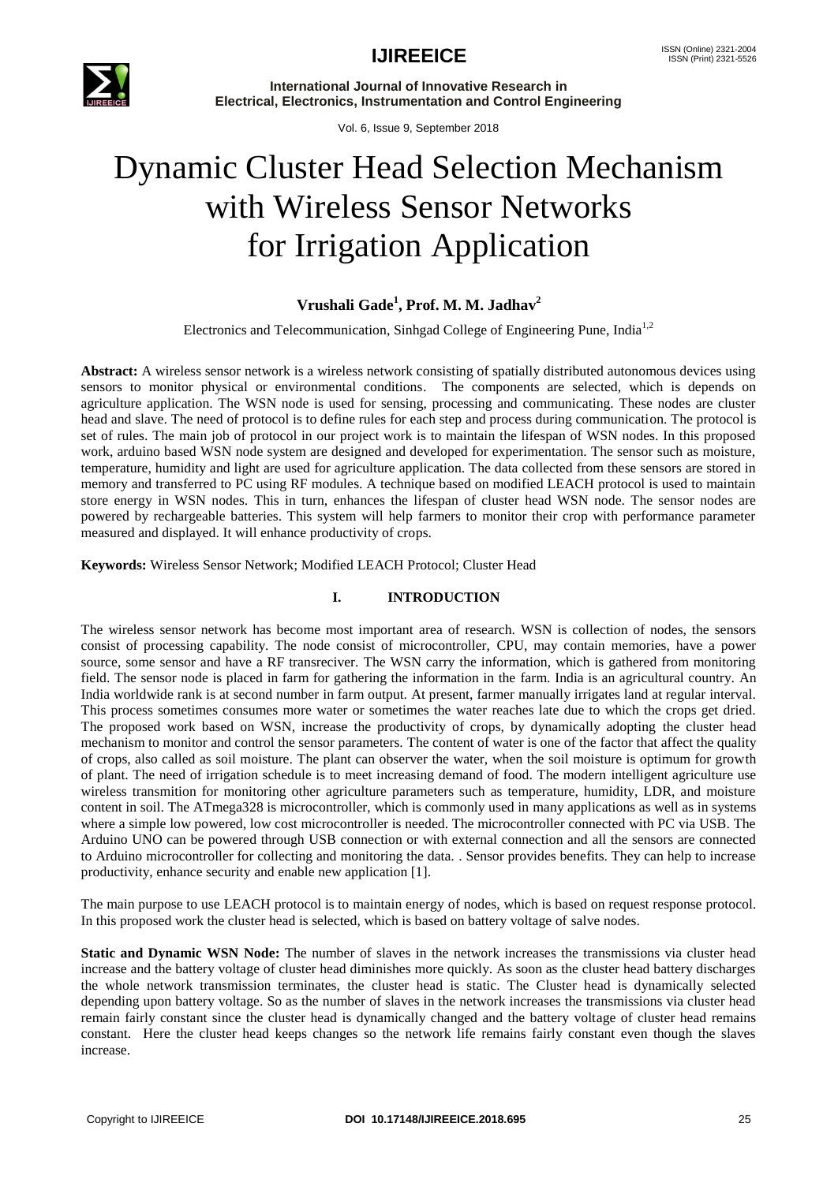

**International Journal of Innovative Research in Electrical, Electronics, Instrumentation and Control Engineering**

Vol. 6, Issue 9, September 2018

# Dynamic Cluster Head Selection Mechanism with Wireless Sensor Networks for Irrigation Application

# **Vrushali Gade<sup>1</sup> , Prof. M. M. Jadhav<sup>2</sup>**

Electronics and Telecommunication, Sinhgad College of Engineering Pune, India1,2

**Abstract:** A wireless sensor network is a wireless network consisting of spatially distributed autonomous devices using sensors to monitor physical or environmental conditions. The components are selected, which is depends on agriculture application. The WSN node is used for sensing, processing and communicating. These nodes are cluster head and slave. The need of protocol is to define rules for each step and process during communication. The protocol is set of rules. The main job of protocol in our project work is to maintain the lifespan of WSN nodes. In this proposed work, arduino based WSN node system are designed and developed for experimentation. The sensor such as moisture, temperature, humidity and light are used for agriculture application. The data collected from these sensors are stored in memory and transferred to PC using RF modules. A technique based on modified LEACH protocol is used to maintain store energy in WSN nodes. This in turn, enhances the lifespan of cluster head WSN node. The sensor nodes are powered by rechargeable batteries. This system will help farmers to monitor their crop with performance parameter measured and displayed. It will enhance productivity of crops.

## **Keywords:** Wireless Sensor Network; Modified LEACH Protocol; Cluster Head

## **I. INTRODUCTION**

The wireless sensor network has become most important area of research. WSN is collection of nodes, the sensors consist of processing capability. The node consist of microcontroller, CPU, may contain memories, have a power source, some sensor and have a RF transreciver. The WSN carry the information, which is gathered from monitoring field. The sensor node is placed in farm for gathering the information in the farm. India is an agricultural country. An India worldwide rank is at second number in farm output. At present, farmer manually irrigates land at regular interval. This process sometimes consumes more water or sometimes the water reaches late due to which the crops get dried. The proposed work based on WSN, increase the productivity of crops, by dynamically adopting the cluster head mechanism to monitor and control the sensor parameters. The content of water is one of the factor that affect the quality of crops, also called as soil moisture. The plant can observer the water, when the soil moisture is optimum for growth of plant. The need of irrigation schedule is to meet increasing demand of food. The modern intelligent agriculture use wireless transmition for monitoring other agriculture parameters such as temperature, humidity, LDR, and moisture content in soil. The ATmega328 is microcontroller, which is commonly used in many applications as well as in systems where a simple low powered, low cost microcontroller is needed. The microcontroller connected with PC via USB. The Arduino UNO can be powered through USB connection or with external connection and all the sensors are connected to Arduino microcontroller for collecting and monitoring the data. . Sensor provides benefits. They can help to increase productivity, enhance security and enable new application [1].

The main purpose to use LEACH protocol is to maintain energy of nodes, which is based on request response protocol. In this proposed work the cluster head is selected, which is based on battery voltage of salve nodes.

**Static and Dynamic WSN Node:** The number of slaves in the network increases the transmissions via cluster head increase and the battery voltage of cluster head diminishes more quickly. As soon as the cluster head battery discharges the whole network transmission terminates, the cluster head is static. The Cluster head is dynamically selected depending upon battery voltage. So as the number of slaves in the network increases the transmissions via cluster head remain fairly constant since the cluster head is dynamically changed and the battery voltage of cluster head remains constant. Here the cluster head keeps changes so the network life remains fairly constant even though the slaves increase.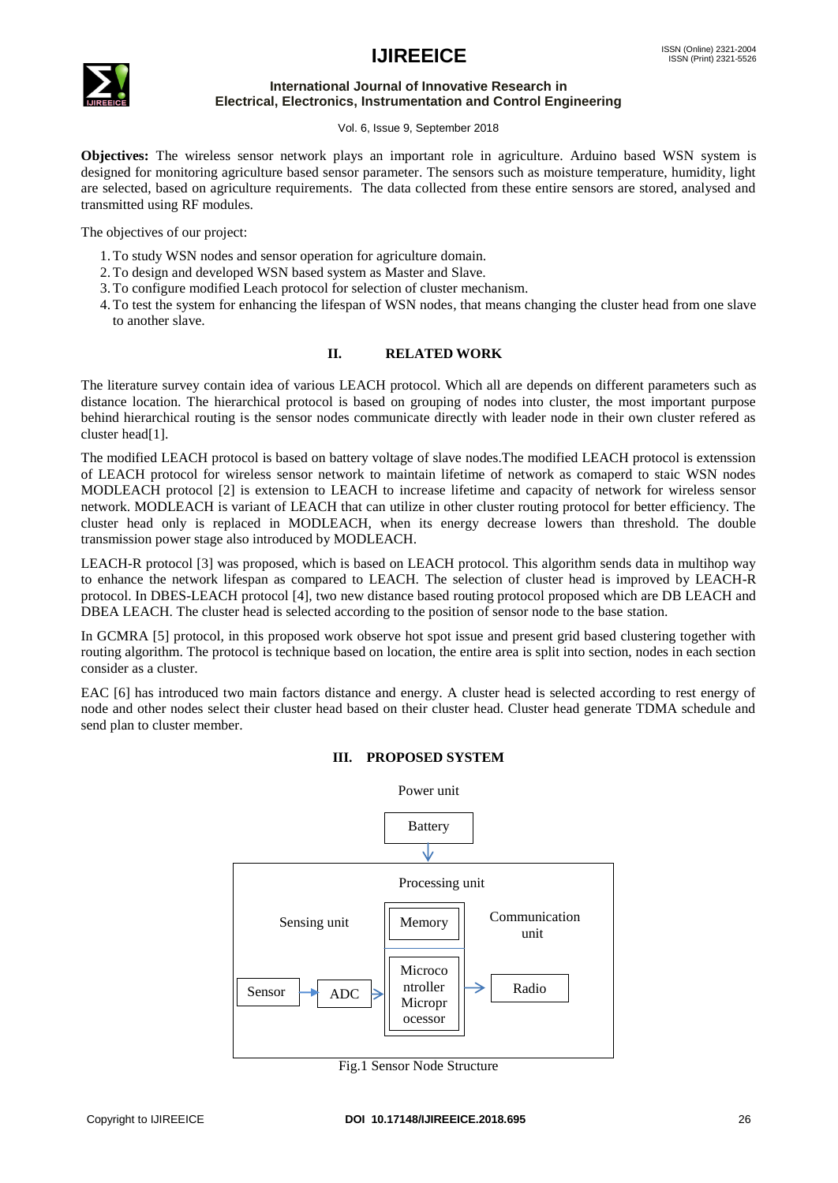# **IJIREEICE** ISSN (Online) 2321-2004



#### **International Journal of Innovative Research in Electrical, Electronics, Instrumentation and Control Engineering**

#### Vol. 6, Issue 9, September 2018

**Objectives:** The wireless sensor network plays an important role in agriculture. Arduino based WSN system is designed for monitoring agriculture based sensor parameter. The sensors such as moisture temperature, humidity, light are selected, based on agriculture requirements. The data collected from these entire sensors are stored, analysed and transmitted using RF modules.

The objectives of our project:

- 1.To study WSN nodes and sensor operation for agriculture domain.
- 2.To design and developed WSN based system as Master and Slave.
- 3.To configure modified Leach protocol for selection of cluster mechanism.
- 4.To test the system for enhancing the lifespan of WSN nodes, that means changing the cluster head from one slave to another slave.

## **II. RELATED WORK**

The literature survey contain idea of various LEACH protocol. Which all are depends on different parameters such as distance location. The hierarchical protocol is based on grouping of nodes into cluster, the most important purpose behind hierarchical routing is the sensor nodes communicate directly with leader node in their own cluster refered as cluster head[1].

The modified LEACH protocol is based on battery voltage of slave nodes.The modified LEACH protocol is extenssion of LEACH protocol for wireless sensor network to maintain lifetime of network as comaperd to staic WSN nodes MODLEACH protocol [2] is extension to LEACH to increase lifetime and capacity of network for wireless sensor network. MODLEACH is variant of LEACH that can utilize in other cluster routing protocol for better efficiency. The cluster head only is replaced in MODLEACH, when its energy decrease lowers than threshold. The double transmission power stage also introduced by MODLEACH.

LEACH-R protocol [3] was proposed, which is based on LEACH protocol. This algorithm sends data in multihop way to enhance the network lifespan as compared to LEACH. The selection of cluster head is improved by LEACH-R protocol. In DBES-LEACH protocol [4], two new distance based routing protocol proposed which are DB LEACH and DBEA LEACH. The cluster head is selected according to the position of sensor node to the base station.

In GCMRA [5] protocol, in this proposed work observe hot spot issue and present grid based clustering together with routing algorithm. The protocol is technique based on location, the entire area is split into section, nodes in each section consider as a cluster.

EAC [6] has introduced two main factors distance and energy. A cluster head is selected according to rest energy of node and other nodes select their cluster head based on their cluster head. Cluster head generate TDMA schedule and send plan to cluster member.



### **III. PROPOSED SYSTEM**

Fig.1 Sensor Node Structure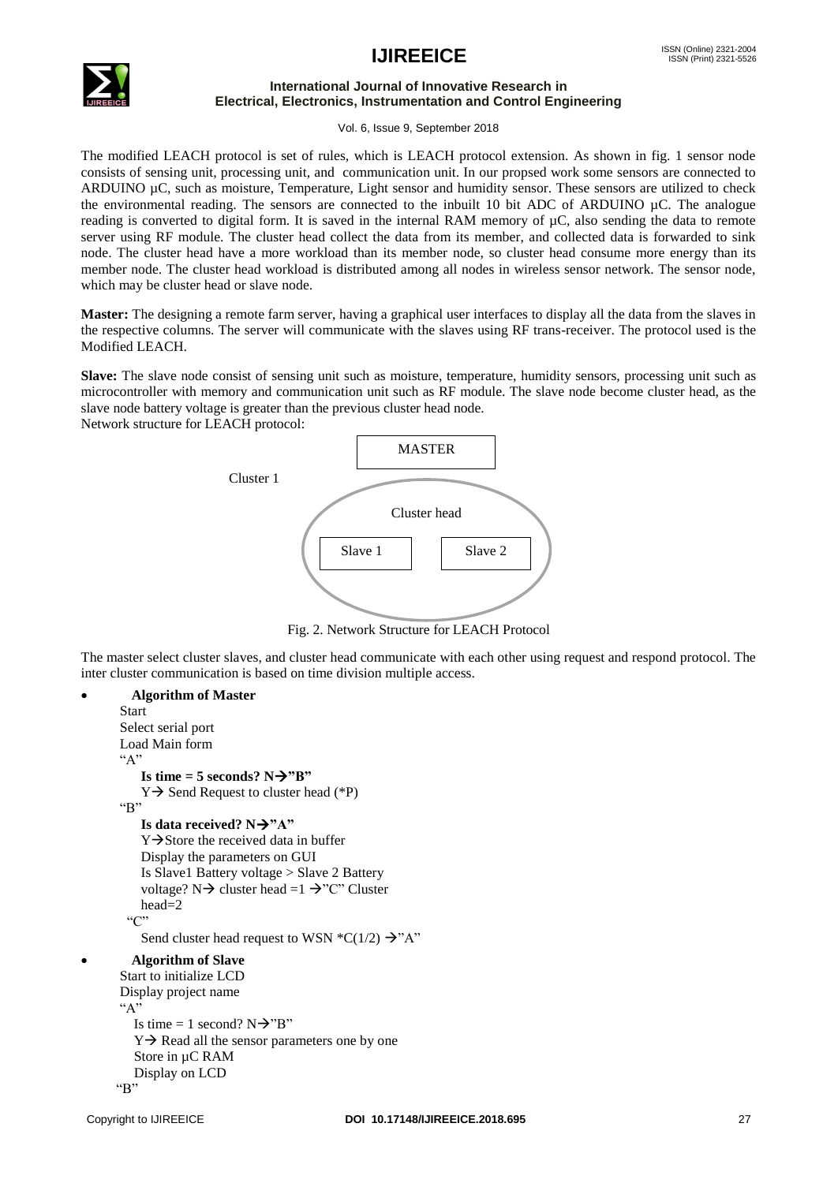# **IJIREEICE** ISSN (Online) 2321-2004



### **International Journal of Innovative Research in Electrical, Electronics, Instrumentation and Control Engineering**

Vol. 6, Issue 9, September 2018

The modified LEACH protocol is set of rules, which is LEACH protocol extension. As shown in fig. 1 sensor node consists of sensing unit, processing unit, and communication unit. In our propsed work some sensors are connected to ARDUINO µC, such as moisture, Temperature, Light sensor and humidity sensor. These sensors are utilized to check the environmental reading. The sensors are connected to the inbuilt 10 bit ADC of ARDUINO µC. The analogue reading is converted to digital form. It is saved in the internal RAM memory of µC, also sending the data to remote server using RF module. The cluster head collect the data from its member, and collected data is forwarded to sink node. The cluster head have a more workload than its member node, so cluster head consume more energy than its member node. The cluster head workload is distributed among all nodes in wireless sensor network. The sensor node, which may be cluster head or slave node.

**Master:** The designing a remote farm server, having a graphical user interfaces to display all the data from the slaves in the respective columns. The server will communicate with the slaves using RF trans-receiver. The protocol used is the Modified LEACH.

**Slave:** The slave node consist of sensing unit such as moisture, temperature, humidity sensors, processing unit such as microcontroller with memory and communication unit such as RF module. The slave node become cluster head, as the slave node battery voltage is greater than the previous cluster head node.

Network structure for LEACH protocol:



Fig. 2. Network Structure for LEACH Protocol network Str<mark>t</mark>

The master select cluster slaves, and cluster head communicate with each other using request and respond protocol. The inter cluster communication is based on time division multiple access.  $\overline{\text{S}}$ 

```
 Algorithm of Master 
  Start
  Select serial port
  Load Main form
  "A"
      Is time = 5 seconds? N \rightarrow "B"Y \rightarrow Send Request to cluster head (*P)
 \mathfrak{p}"
      Is data received? N\rightarrow "A"Y \rightarrowStore the received data in buffer
       Display the parameters on GUI
       Is Slave1 Battery voltage > Slave 2 Battery 
      voltage? N \rightarrow cluster head =1 \rightarrow "C" Cluster
       head=2
   \mathcal{C}Send cluster head request to WSN ^{\ast}C(1/2) \rightarrow^{\ast}A^{\ast} Algorithm of Slave 
  Start to initialize LCD
  Display project name
 AIs time = 1 second? N\rightarrow"B"
    Y \rightarrow Read all the sensor parameters one by one
     Store in µC RAM
     Display on LCD
"R"
```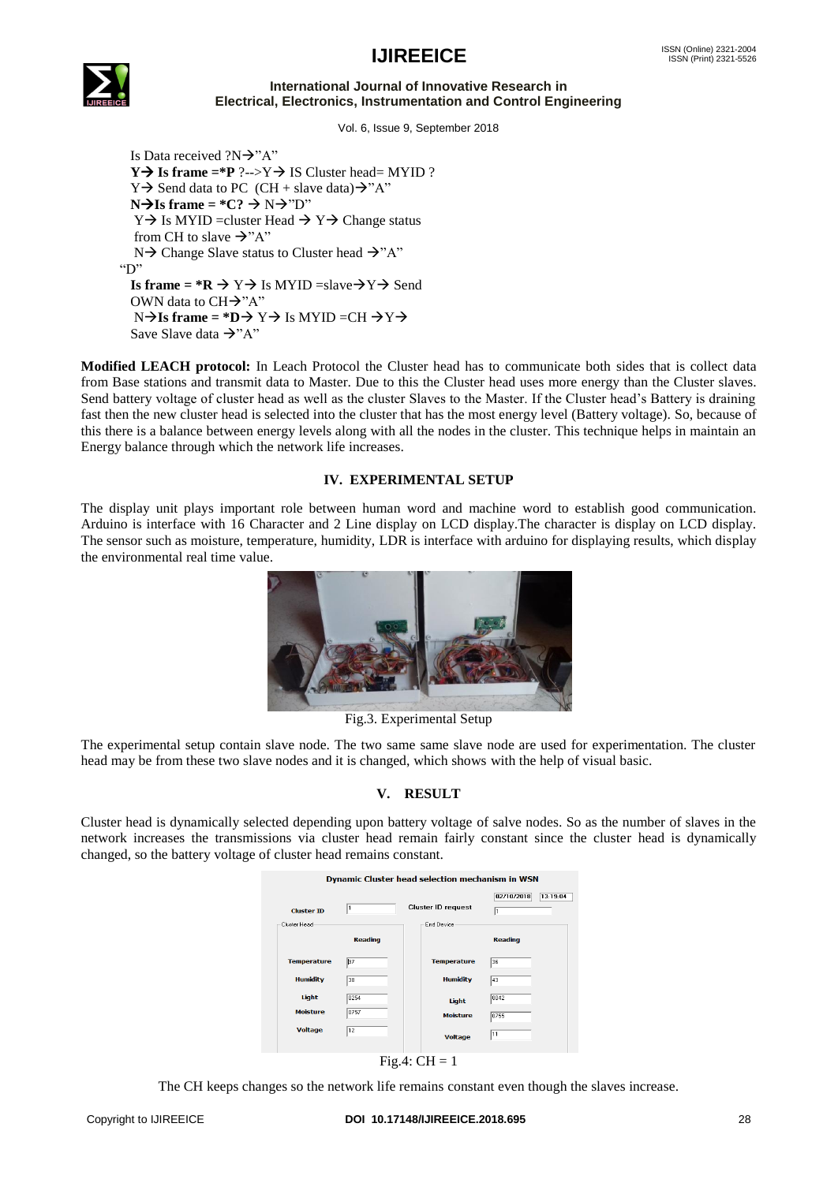# **IJIREEICE** ISSN (Online) 2321-2004



#### **International Journal of Innovative Research in Electrical, Electronics, Instrumentation and Control Engineering**

Vol. 6, Issue 9, September 2018

Is Data received  $?N\rightarrow 'A"$ **Y** $\rightarrow$  **Is frame** =\***P** ?-->Y $\rightarrow$  **IS** Cluster head= MYID ?  $Y \rightarrow$  Send data to PC (CH + slave data) $\rightarrow$ "A"  $N\rightarrow$ Is frame = \*C?  $\rightarrow$  N $\rightarrow$ "D"  $Y \rightarrow$  Is MYID =cluster Head  $\rightarrow Y \rightarrow$  Change status from CH to slave  $\rightarrow$ "A"  $N \rightarrow$  Change Slave status to Cluster head  $\rightarrow$ "A"  $"D"$ **Is frame = \*R**  $\rightarrow$  Y  $\rightarrow$  Is MYID =slave $\rightarrow$  Y  $\rightarrow$  Send OWN data to  $CH\rightarrow "A"$  $N\rightarrow$ **Is frame = \*D** $\rightarrow$  Y $\rightarrow$  Is MYID =CH  $\rightarrow$  Y $\rightarrow$ Save Slave data  $\rightarrow$ "A"

**Modified LEACH protocol:** In Leach Protocol the Cluster head has to communicate both sides that is collect data from Base stations and transmit data to Master. Due to this the Cluster head uses more energy than the Cluster slaves. Send battery voltage of cluster head as well as the cluster Slaves to the Master. If the Cluster head's Battery is draining fast then the new cluster head is selected into the cluster that has the most energy level (Battery voltage). So, because of this there is a balance between energy levels along with all the nodes in the cluster. This technique helps in maintain an Energy balance through which the network life increases.

## **IV. EXPERIMENTAL SETUP**

The display unit plays important role between human word and machine word to establish good communication. Arduino is interface with 16 Character and 2 Line display on LCD display.The character is display on LCD display. The sensor such as moisture, temperature, humidity, LDR is interface with arduino for displaying results, which display the environmental real time value.



Fig.3. Experimental Setup

The experimental setup contain slave node. The two same same slave node are used for experimentation. The cluster head may be from these two slave nodes and it is changed, which shows with the help of visual basic.

# **V. RESULT**

Cluster head is dynamically selected depending upon battery voltage of salve nodes. So as the number of slaves in the network increases the transmissions via cluster head remain fairly constant since the cluster head is dynamically changed, so the battery voltage of cluster head remains constant.

| <b>Dynamic Cluster head selection mechanism in WSN</b> |                      |                                         |                                               |
|--------------------------------------------------------|----------------------|-----------------------------------------|-----------------------------------------------|
| <b>Cluster ID</b><br>Cluster Head                      | l1<br><b>Reading</b> | <b>Cluster ID request</b><br>End Device | 02/10/2018<br>13:19:04<br>1<br><b>Reading</b> |
| <b>Temperature</b>                                     | B7                   | <b>Temperature</b>                      | 36                                            |
| <b>Humidity</b>                                        | 38                   | <b>Humidity</b>                         | 43                                            |
| Light                                                  | 0254                 | Light                                   | 0042                                          |
| <b>Moisture</b>                                        | 0757                 | <b>Moisture</b>                         | 0755                                          |
| <b>Voltage</b>                                         | 12                   | <b>Voltage</b>                          | 11                                            |
| Fig.4: $CH = 1$                                        |                      |                                         |                                               |

The CH keeps changes so the network life remains constant even though the slaves increase.